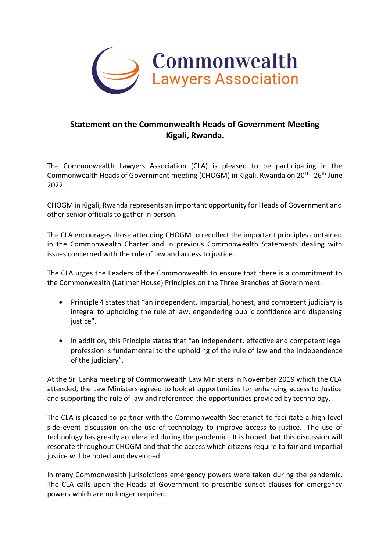

## **Statement on the Commonwealth Heads of Government Meeting Kigali, Rwanda.**

The Commonwealth Lawyers Association (CLA) is pleased to be participating in the Commonwealth Heads of Government meeting (CHOGM) in Kigali, Rwanda on 20<sup>th</sup> -26<sup>th</sup> June 2022.

CHOGM in Kigali, Rwanda represents an important opportunity for Heads of Government and other senior officials to gather in person.

The CLA encourages those attending CHOGM to recollect the important principles contained in the Commonwealth Charter and in previous Commonwealth Statements dealing with issues concerned with the rule of law and access to justice.

The CLA urges the Leaders of the Commonwealth to ensure that there is a commitment to the Commonwealth (Latimer House) Principles on the Three Branches of Government.

- Principle 4 states that "an independent, impartial, honest, and competent judiciary is integral to upholding the rule of law, engendering public confidence and dispensing justice".
- In addition, this Principle states that "an independent, effective and competent legal profession is fundamental to the upholding of the rule of law and the independence of the judiciary".

At the Sri Lanka meeting of Commonwealth Law Ministers in November 2019 which the CLA attended, the Law Ministers agreed to look at opportunities for enhancing access to Justice and supporting the rule of law and referenced the opportunities provided by technology.

The CLA is pleased to partner with the Commonwealth Secretariat to facilitate a high-level side event discussion on the use of technology to improve access to justice. The use of technology has greatly accelerated during the pandemic. It is hoped that this discussion will resonate throughout CHOGM and that the access which citizens require to fair and impartial justice will be noted and developed.

In many Commonwealth jurisdictions emergency powers were taken during the pandemic. The CLA calls upon the Heads of Government to prescribe sunset clauses for emergency powers which are no longer required.